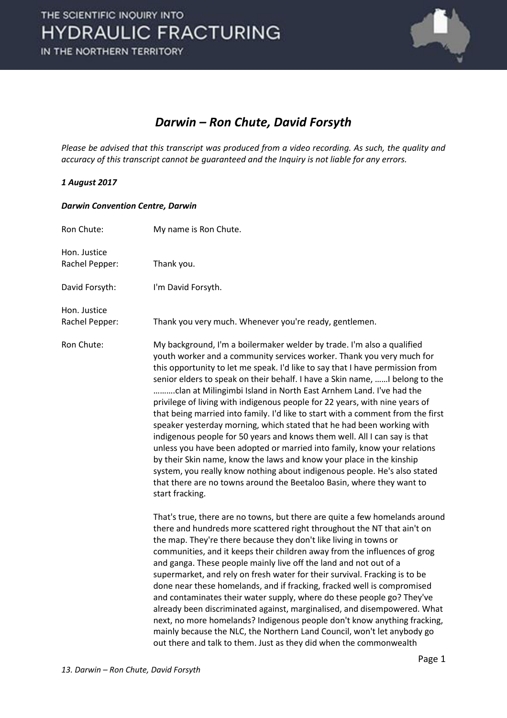

## *Darwin – Ron Chute, David Forsyth*

*Please be advised that this transcript was produced from a video recording. As such, the quality and accuracy of this transcript cannot be guaranteed and the Inquiry is not liable for any errors.*

## *1 August 2017*

## *Darwin Convention Centre, Darwin*

| Ron Chute:                     | My name is Ron Chute.                                                                                                                                                                                                                                                                                                                                                                                                                                                                                                                                                                                                                                                                                                                                                                                                                                                                                                                                                                                                                     |
|--------------------------------|-------------------------------------------------------------------------------------------------------------------------------------------------------------------------------------------------------------------------------------------------------------------------------------------------------------------------------------------------------------------------------------------------------------------------------------------------------------------------------------------------------------------------------------------------------------------------------------------------------------------------------------------------------------------------------------------------------------------------------------------------------------------------------------------------------------------------------------------------------------------------------------------------------------------------------------------------------------------------------------------------------------------------------------------|
| Hon. Justice<br>Rachel Pepper: | Thank you.                                                                                                                                                                                                                                                                                                                                                                                                                                                                                                                                                                                                                                                                                                                                                                                                                                                                                                                                                                                                                                |
| David Forsyth:                 | I'm David Forsyth.                                                                                                                                                                                                                                                                                                                                                                                                                                                                                                                                                                                                                                                                                                                                                                                                                                                                                                                                                                                                                        |
| Hon. Justice<br>Rachel Pepper: | Thank you very much. Whenever you're ready, gentlemen.                                                                                                                                                                                                                                                                                                                                                                                                                                                                                                                                                                                                                                                                                                                                                                                                                                                                                                                                                                                    |
| Ron Chute:                     | My background, I'm a boilermaker welder by trade. I'm also a qualified<br>youth worker and a community services worker. Thank you very much for<br>this opportunity to let me speak. I'd like to say that I have permission from<br>senior elders to speak on their behalf. I have a Skin name, I belong to the<br>clan at Milingimbi Island in North East Arnhem Land. I've had the<br>privilege of living with indigenous people for 22 years, with nine years of<br>that being married into family. I'd like to start with a comment from the first<br>speaker yesterday morning, which stated that he had been working with<br>indigenous people for 50 years and knows them well. All I can say is that<br>unless you have been adopted or married into family, know your relations<br>by their Skin name, know the laws and know your place in the kinship<br>system, you really know nothing about indigenous people. He's also stated<br>that there are no towns around the Beetaloo Basin, where they want to<br>start fracking. |
|                                | That's true, there are no towns, but there are quite a few homelands around<br>there and hundreds more scattered right throughout the NT that ain't on<br>the map. They're there because they don't like living in towns or<br>communities, and it keeps their children away from the influences of grog<br>and ganga. These people mainly live off the land and not out of a<br>supermarket, and rely on fresh water for their survival. Fracking is to be<br>done near these homelands, and if fracking, fracked well is compromised<br>and contaminates their water supply, where do these people go? They've<br>already been discriminated against, marginalised, and disempowered. What<br>next, no more homelands? Indigenous people don't know anything fracking,<br>mainly because the NLC, the Northern Land Council, won't let anybody go<br>out there and talk to them. Just as they did when the commonwealth                                                                                                                 |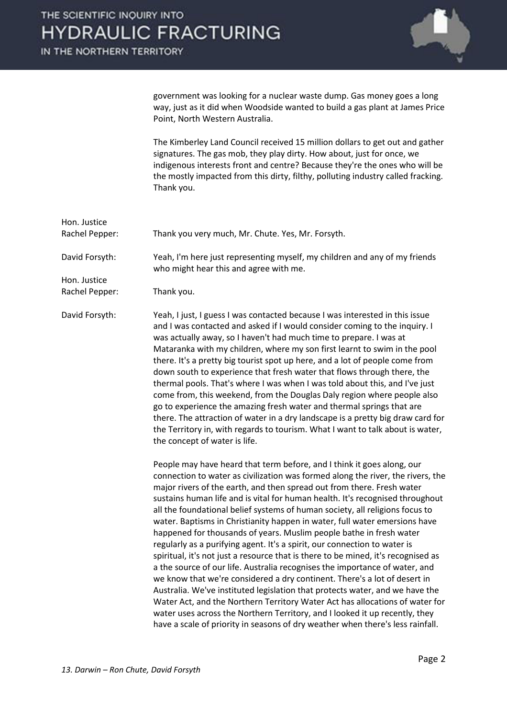

government was looking for a nuclear waste dump. Gas money goes a long way, just as it did when Woodside wanted to build a gas plant at James Price Point, North Western Australia.

 The Kimberley Land Council received 15 million dollars to get out and gather signatures. The gas mob, they play dirty. How about, just for once, we indigenous interests front and centre? Because they're the ones who will be the mostly impacted from this dirty, filthy, polluting industry called fracking. Thank you.

Hon. Justice Rachel Pepper: Thank you very much, Mr. Chute. Yes, Mr. Forsyth. David Forsyth: Yeah, I'm here just representing myself, my children and any of my friends who might hear this and agree with me. Hon. Justice Rachel Pepper: Thank you. David Forsyth: Yeah, I just, I guess I was contacted because I was interested in this issue and I was contacted and asked if I would consider coming to the inquiry. I was actually away, so I haven't had much time to prepare. I was at Mataranka with my children, where my son first learnt to swim in the pool there. It's a pretty big tourist spot up here, and a lot of people come from down south to experience that fresh water that flows through there, the thermal pools. That's where I was when I was told about this, and I've just come from, this weekend, from the Douglas Daly region where people also go to experience the amazing fresh water and thermal springs that are there. The attraction of water in a dry landscape is a pretty big draw card for the Territory in, with regards to tourism. What I want to talk about is water, the concept of water is life. People may have heard that term before, and I think it goes along, our connection to water as civilization was formed along the river, the rivers, the major rivers of the earth, and then spread out from there. Fresh water sustains human life and is vital for human health. It's recognised throughout all the foundational belief systems of human society, all religions focus to water. Baptisms in Christianity happen in water, full water emersions have

happened for thousands of years. Muslim people bathe in fresh water regularly as a purifying agent. It's a spirit, our connection to water is spiritual, it's not just a resource that is there to be mined, it's recognised as a the source of our life. Australia recognises the importance of water, and we know that we're considered a dry continent. There's a lot of desert in Australia. We've instituted legislation that protects water, and we have the Water Act, and the Northern Territory Water Act has allocations of water for water uses across the Northern Territory, and I looked it up recently, they have a scale of priority in seasons of dry weather when there's less rainfall.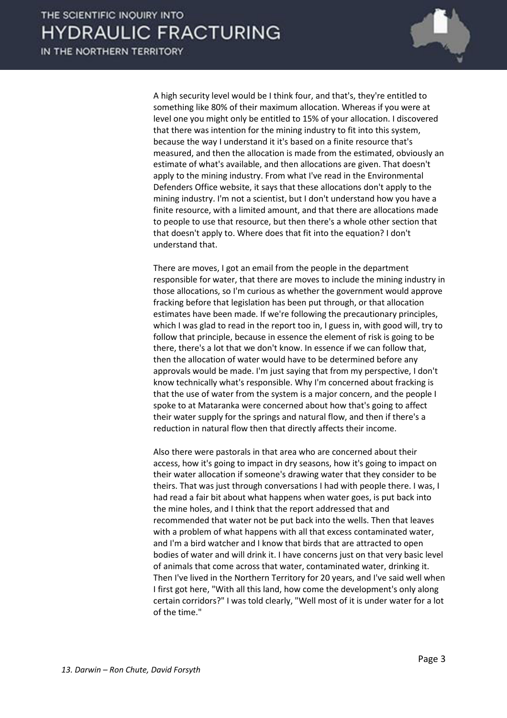

 A high security level would be I think four, and that's, they're entitled to something like 80% of their maximum allocation. Whereas if you were at level one you might only be entitled to 15% of your allocation. I discovered that there was intention for the mining industry to fit into this system, because the way I understand it it's based on a finite resource that's measured, and then the allocation is made from the estimated, obviously an estimate of what's available, and then allocations are given. That doesn't apply to the mining industry. From what I've read in the Environmental Defenders Office website, it says that these allocations don't apply to the mining industry. I'm not a scientist, but I don't understand how you have a finite resource, with a limited amount, and that there are allocations made to people to use that resource, but then there's a whole other section that that doesn't apply to. Where does that fit into the equation? I don't understand that.

 There are moves, I got an email from the people in the department responsible for water, that there are moves to include the mining industry in those allocations, so I'm curious as whether the government would approve fracking before that legislation has been put through, or that allocation estimates have been made. If we're following the precautionary principles, which I was glad to read in the report too in, I guess in, with good will, try to follow that principle, because in essence the element of risk is going to be there, there's a lot that we don't know. In essence if we can follow that, then the allocation of water would have to be determined before any approvals would be made. I'm just saying that from my perspective, I don't know technically what's responsible. Why I'm concerned about fracking is that the use of water from the system is a major concern, and the people I spoke to at Mataranka were concerned about how that's going to affect their water supply for the springs and natural flow, and then if there's a reduction in natural flow then that directly affects their income.

 Also there were pastorals in that area who are concerned about their access, how it's going to impact in dry seasons, how it's going to impact on their water allocation if someone's drawing water that they consider to be theirs. That was just through conversations I had with people there. I was, I had read a fair bit about what happens when water goes, is put back into the mine holes, and I think that the report addressed that and recommended that water not be put back into the wells. Then that leaves with a problem of what happens with all that excess contaminated water, and I'm a bird watcher and I know that birds that are attracted to open bodies of water and will drink it. I have concerns just on that very basic level of animals that come across that water, contaminated water, drinking it. Then I've lived in the Northern Territory for 20 years, and I've said well when I first got here, "With all this land, how come the development's only along certain corridors?" I was told clearly, "Well most of it is under water for a lot of the time."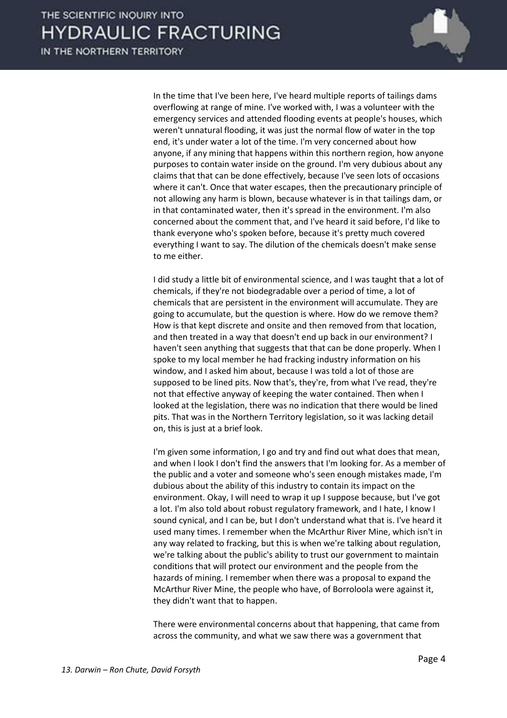

 In the time that I've been here, I've heard multiple reports of tailings dams overflowing at range of mine. I've worked with, I was a volunteer with the emergency services and attended flooding events at people's houses, which weren't unnatural flooding, it was just the normal flow of water in the top end, it's under water a lot of the time. I'm very concerned about how anyone, if any mining that happens within this northern region, how anyone purposes to contain water inside on the ground. I'm very dubious about any claims that that can be done effectively, because I've seen lots of occasions where it can't. Once that water escapes, then the precautionary principle of not allowing any harm is blown, because whatever is in that tailings dam, or in that contaminated water, then it's spread in the environment. I'm also concerned about the comment that, and I've heard it said before, I'd like to thank everyone who's spoken before, because it's pretty much covered everything I want to say. The dilution of the chemicals doesn't make sense to me either.

 I did study a little bit of environmental science, and I was taught that a lot of chemicals, if they're not biodegradable over a period of time, a lot of chemicals that are persistent in the environment will accumulate. They are going to accumulate, but the question is where. How do we remove them? How is that kept discrete and onsite and then removed from that location, and then treated in a way that doesn't end up back in our environment? I haven't seen anything that suggests that that can be done properly. When I spoke to my local member he had fracking industry information on his window, and I asked him about, because I was told a lot of those are supposed to be lined pits. Now that's, they're, from what I've read, they're not that effective anyway of keeping the water contained. Then when I looked at the legislation, there was no indication that there would be lined pits. That was in the Northern Territory legislation, so it was lacking detail on, this is just at a brief look.

 I'm given some information, I go and try and find out what does that mean, and when I look I don't find the answers that I'm looking for. As a member of the public and a voter and someone who's seen enough mistakes made, I'm dubious about the ability of this industry to contain its impact on the environment. Okay, I will need to wrap it up I suppose because, but I've got a lot. I'm also told about robust regulatory framework, and I hate, I know I sound cynical, and I can be, but I don't understand what that is. I've heard it used many times. I remember when the McArthur River Mine, which isn't in any way related to fracking, but this is when we're talking about regulation, we're talking about the public's ability to trust our government to maintain conditions that will protect our environment and the people from the hazards of mining. I remember when there was a proposal to expand the McArthur River Mine, the people who have, of Borroloola were against it, they didn't want that to happen.

 There were environmental concerns about that happening, that came from across the community, and what we saw there was a government that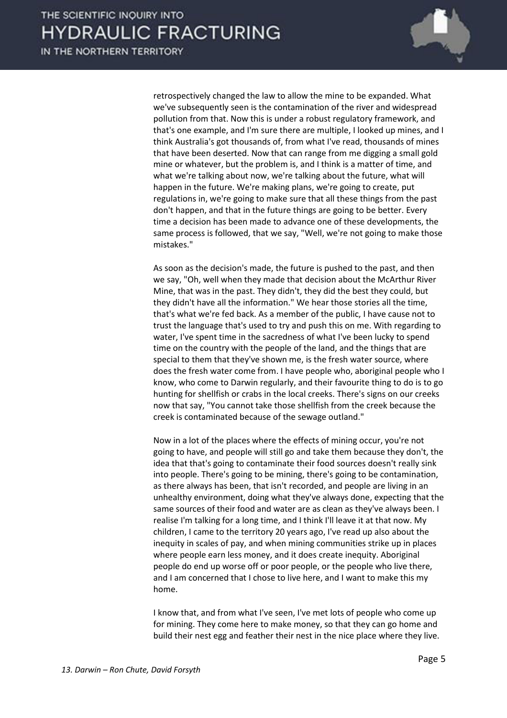

retrospectively changed the law to allow the mine to be expanded. What we've subsequently seen is the contamination of the river and widespread pollution from that. Now this is under a robust regulatory framework, and that's one example, and I'm sure there are multiple, I looked up mines, and I think Australia's got thousands of, from what I've read, thousands of mines that have been deserted. Now that can range from me digging a small gold mine or whatever, but the problem is, and I think is a matter of time, and what we're talking about now, we're talking about the future, what will happen in the future. We're making plans, we're going to create, put regulations in, we're going to make sure that all these things from the past don't happen, and that in the future things are going to be better. Every time a decision has been made to advance one of these developments, the same process is followed, that we say, "Well, we're not going to make those mistakes."

 As soon as the decision's made, the future is pushed to the past, and then we say, "Oh, well when they made that decision about the McArthur River Mine, that was in the past. They didn't, they did the best they could, but they didn't have all the information." We hear those stories all the time, that's what we're fed back. As a member of the public, I have cause not to trust the language that's used to try and push this on me. With regarding to water, I've spent time in the sacredness of what I've been lucky to spend time on the country with the people of the land, and the things that are special to them that they've shown me, is the fresh water source, where does the fresh water come from. I have people who, aboriginal people who I know, who come to Darwin regularly, and their favourite thing to do is to go hunting for shellfish or crabs in the local creeks. There's signs on our creeks now that say, "You cannot take those shellfish from the creek because the creek is contaminated because of the sewage outland."

 Now in a lot of the places where the effects of mining occur, you're not going to have, and people will still go and take them because they don't, the idea that that's going to contaminate their food sources doesn't really sink into people. There's going to be mining, there's going to be contamination, as there always has been, that isn't recorded, and people are living in an unhealthy environment, doing what they've always done, expecting that the same sources of their food and water are as clean as they've always been. I realise I'm talking for a long time, and I think I'll leave it at that now. My children, I came to the territory 20 years ago, I've read up also about the inequity in scales of pay, and when mining communities strike up in places where people earn less money, and it does create inequity. Aboriginal people do end up worse off or poor people, or the people who live there, and I am concerned that I chose to live here, and I want to make this my home.

 I know that, and from what I've seen, I've met lots of people who come up for mining. They come here to make money, so that they can go home and build their nest egg and feather their nest in the nice place where they live.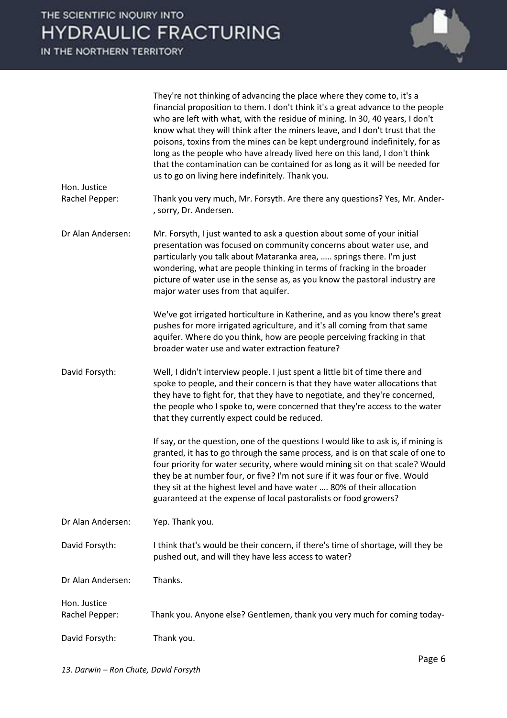| Hon. Justice                   | They're not thinking of advancing the place where they come to, it's a<br>financial proposition to them. I don't think it's a great advance to the people<br>who are left with what, with the residue of mining. In 30, 40 years, I don't<br>know what they will think after the miners leave, and I don't trust that the<br>poisons, toxins from the mines can be kept underground indefinitely, for as<br>long as the people who have already lived here on this land, I don't think<br>that the contamination can be contained for as long as it will be needed for<br>us to go on living here indefinitely. Thank you. |
|--------------------------------|----------------------------------------------------------------------------------------------------------------------------------------------------------------------------------------------------------------------------------------------------------------------------------------------------------------------------------------------------------------------------------------------------------------------------------------------------------------------------------------------------------------------------------------------------------------------------------------------------------------------------|
| Rachel Pepper:                 | Thank you very much, Mr. Forsyth. Are there any questions? Yes, Mr. Ander-<br>, sorry, Dr. Andersen.                                                                                                                                                                                                                                                                                                                                                                                                                                                                                                                       |
| Dr Alan Andersen:              | Mr. Forsyth, I just wanted to ask a question about some of your initial<br>presentation was focused on community concerns about water use, and<br>particularly you talk about Mataranka area,  springs there. I'm just<br>wondering, what are people thinking in terms of fracking in the broader<br>picture of water use in the sense as, as you know the pastoral industry are<br>major water uses from that aquifer.                                                                                                                                                                                                    |
|                                | We've got irrigated horticulture in Katherine, and as you know there's great<br>pushes for more irrigated agriculture, and it's all coming from that same<br>aquifer. Where do you think, how are people perceiving fracking in that<br>broader water use and water extraction feature?                                                                                                                                                                                                                                                                                                                                    |
| David Forsyth:                 | Well, I didn't interview people. I just spent a little bit of time there and<br>spoke to people, and their concern is that they have water allocations that<br>they have to fight for, that they have to negotiate, and they're concerned,<br>the people who I spoke to, were concerned that they're access to the water<br>that they currently expect could be reduced.                                                                                                                                                                                                                                                   |
|                                | If say, or the question, one of the questions I would like to ask is, if mining is<br>granted, it has to go through the same process, and is on that scale of one to<br>four priority for water security, where would mining sit on that scale? Would<br>they be at number four, or five? I'm not sure if it was four or five. Would<br>they sit at the highest level and have water  80% of their allocation<br>guaranteed at the expense of local pastoralists or food growers?                                                                                                                                          |
| Dr Alan Andersen:              | Yep. Thank you.                                                                                                                                                                                                                                                                                                                                                                                                                                                                                                                                                                                                            |
| David Forsyth:                 | I think that's would be their concern, if there's time of shortage, will they be<br>pushed out, and will they have less access to water?                                                                                                                                                                                                                                                                                                                                                                                                                                                                                   |
| Dr Alan Andersen:              | Thanks.                                                                                                                                                                                                                                                                                                                                                                                                                                                                                                                                                                                                                    |
| Hon. Justice<br>Rachel Pepper: | Thank you. Anyone else? Gentlemen, thank you very much for coming today-                                                                                                                                                                                                                                                                                                                                                                                                                                                                                                                                                   |
| David Forsyth:                 | Thank you.                                                                                                                                                                                                                                                                                                                                                                                                                                                                                                                                                                                                                 |